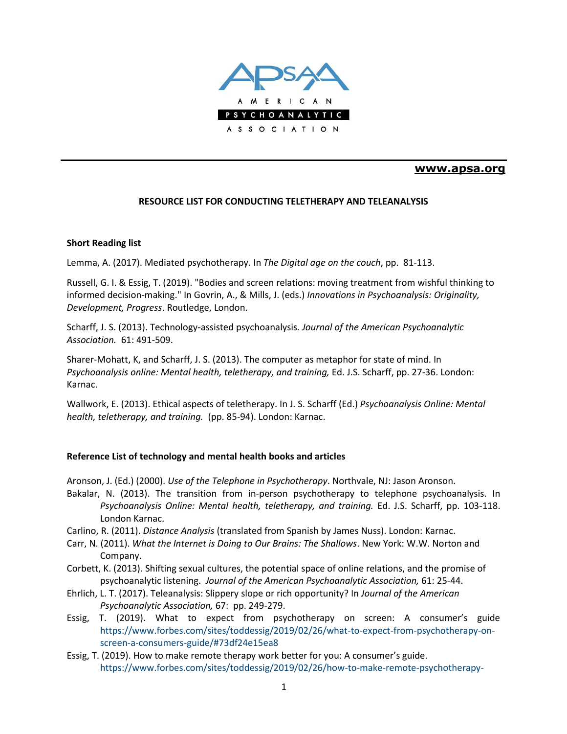

## **[www.apsa.org](http://www.apsa.org/)**

## **RESOURCE LIST FOR CONDUCTING TELETHERAPY AND TELEANALYSIS**

## **Short Reading list**

Lemma, A. (2017). Mediated psychotherapy. In *The Digital age on the couch*, pp. 81-113.

Russell, G. I. & Essig, T. (2019). "Bodies and screen relations: moving treatment from wishful thinking to informed decision-making." In Govrin, A., & Mills, J. (eds.) *Innovations in Psychoanalysis: Originality, Development, Progress*. Routledge, London.

Scharff, J. S. (2013). Technology-assisted psychoanalysis*. Journal of the American Psychoanalytic Association.* 61: 491-509.

Sharer-Mohatt, K, and Scharff, J. S. (2013). The computer as metaphor for state of mind. In *Psychoanalysis online: Mental health, teletherapy, and training,* Ed. J.S. Scharff, pp. 27-36. London: Karnac.

Wallwork, E. (2013). Ethical aspects of teletherapy. In J. S. Scharff (Ed.) *Psychoanalysis Online: Mental health, teletherapy, and training.* (pp. 85-94). London: Karnac.

## **Reference List of technology and mental health books and articles**

Aronson, J. (Ed.) (2000). *Use of the Telephone in Psychotherapy*. Northvale, NJ: Jason Aronson.

- Bakalar, N. (2013). The transition from in-person psychotherapy to telephone psychoanalysis. In *Psychoanalysis Online: Mental health, teletherapy, and training.* Ed. J.S. Scharff, pp. 103-118. London Karnac.
- Carlino, R. (2011). *Distance Analysis* (translated from Spanish by James Nuss). London: Karnac.
- Carr, N. (2011). *What the Internet is Doing to Our Brains: The Shallows*. New York: W.W. Norton and Company.
- Corbett, K. (2013). Shifting sexual cultures, the potential space of online relations, and the promise of psychoanalytic listening. *Journal of the American Psychoanalytic Association,* 61: 25-44.
- Ehrlich, L. T. (2017). Teleanalysis: Slippery slope or rich opportunity? In *Journal of the American Psychoanalytic Association,* 67: pp. 249-279.
- Essig, T. (2019). What to expect from psychotherapy on screen: A consumer's guide [https://ww](http://www.forbes.com/sites/toddessig/2019/02/26/what-to-expect-from-psychotherapy-on-)w.forb[es.com/sites/toddessig/2019/02/26/what-to-expect-from-psychotherapy-on](http://www.forbes.com/sites/toddessig/2019/02/26/what-to-expect-from-psychotherapy-on-)screen-a-consumers-guide/#73df24e15ea8
- Essig, T. (2019). How to make remote therapy work better for you: A consumer's guide. [https://ww](http://www.forbes.com/sites/toddessig/2019/02/26/how-to-make-remote-psychotherapy-)w.forb[es.com/sites/toddessig/2019/02/26/how-to-make-remote-psychotherapy-](http://www.forbes.com/sites/toddessig/2019/02/26/how-to-make-remote-psychotherapy-)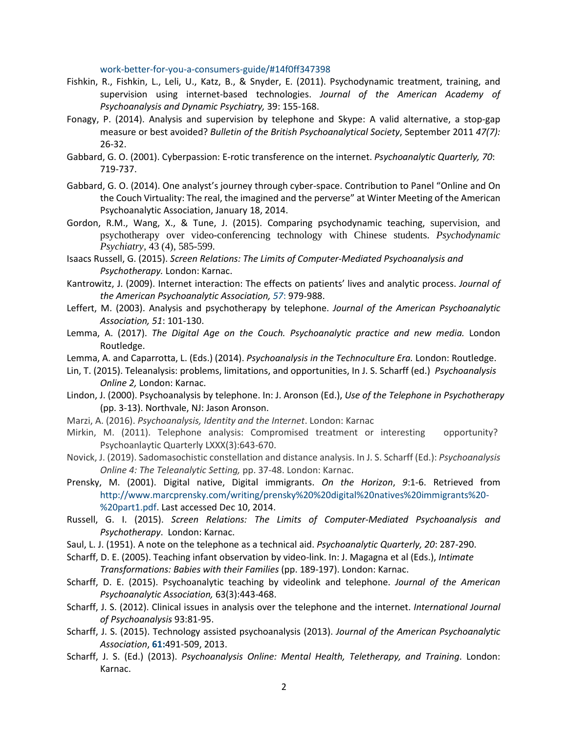work-better-for-you-a-consumers-guide/#14f0ff347398

- Fishkin, R., Fishkin, L., Leli, U., Katz, B., & Snyder, E. (2011). Psychodynamic treatment, training, and supervision using internet-based technologies. *Journal of the American Academy of Psychoanalysis and Dynamic Psychiatry,* 39: 155-168.
- Fonagy, P. (2014). Analysis and supervision by telephone and Skype: A valid alternative, a stop-gap measure or best avoided? *Bulletin of the British Psychoanalytical Society*, September 2011 *47(7):* 26-32.
- Gabbard, G. O. (2001). Cyberpassion: E-rotic transference on the internet. *Psychoanalytic Quarterly, 70*: 719-737.
- Gabbard, G. O. (2014). One analyst's journey through cyber-space. Contribution to Panel "Online and On the Couch Virtuality: The real, the imagined and the perverse" at Winter Meeting of the American Psychoanalytic Association, January 18, 2014.
- Gordon, R.M., Wang, X., & Tune, J. (2015). Comparing psychodynamic teaching, supervision, and psychotherapy over video-conferencing technology with Chinese students. *Psychodynamic Psychiatry,* 43 (4), 585-599.
- Isaacs Russell, G. (2015). *Screen Relations: The Limits of Computer-Mediated Psychoanalysis and Psychotherapy.* London: Karnac.
- Kantrowitz, J. (2009). Internet interaction: The effects on patients' lives and analytic process. *Journal of the American Psychoanalytic Association, 57*: 979-988.
- Leffert, M. (2003). Analysis and psychotherapy by telephone. *Journal of the American Psychoanalytic Association, 51*: 101-130.
- Lemma, A. (2017). *The Digital Age on the Couch. Psychoanalytic practice and new media.* London Routledge.
- Lemma, A. and Caparrotta, L. (Eds.) (2014). *Psychoanalysis in the Technoculture Era.* London: Routledge.
- Lin, T. (2015). Teleanalysis: problems, limitations, and opportunities, In J. S. Scharff (ed.) *Psychoanalysis Online 2,* London: Karnac.
- Lindon, J. (2000). Psychoanalysis by telephone. In: J. Aronson (Ed.), *Use of the Telephone in Psychotherapy* (pp. 3-13). Northvale, NJ: Jason Aronson.
- Marzi, A. (2016). *Psychoanalysis, Identity and the Internet*. London: Karnac
- Mirkin, M. (2011). Telephone analysis: Compromised treatment or interesting opportunity? Psychoanlaytic Quarterly LXXX(3):643-670.
- Novick, J. (2019). Sadomasochistic constellation and distance analysis. In J. S. Scharff (Ed.): *Psychoanalysis Online 4: The Teleanalytic Setting,* pp. 37-48. London: Karnac.
- Prensky, M. (2001). Digital native, Digital immigrants. *On the Horizon*, *9*:1-6. Retrieved from [http://www.marcprensky.com/writing/prensky%20%20digital%20natives%20immigrants%20-](http://www.marcprensky.com/writing/prensky%2520%2520digital%2520natives%2520immigrants%2520-) %20part1.pdf. Last accessed Dec 10, 2014.
- Russell, G. I. (2015). *Screen Relations: The Limits of Computer-Mediated Psychoanalysis and Psychotherapy*. London: Karnac.
- Saul, L. J. (1951). A note on the telephone as a technical aid. *Psychoanalytic Quarterly, 20*: 287-290.
- Scharff, D. E. (2005). Teaching infant observation by video-link. In: J. Magagna et al (Eds.), *Intimate Transformations: Babies with their Families* (pp. 189-197). London: Karnac.
- Scharff, D. E. (2015). Psychoanalytic teaching by videolink and telephone. *Journal of the American Psychoanalytic Association,* 63(3):443-468.
- Scharff, J. S. (2012). Clinical issues in analysis over the telephone and the internet. *International Journal of Psychoanalysis* 93:81-95.
- Scharff, J. S. (2015). Technology assisted psychoanalysis (2013). *Journal of the American Psychoanalytic Association*, **61:**491-509, 2013.
- Scharff, J. S. (Ed.) (2013). *Psychoanalysis Online: Mental Health, Teletherapy, and Training*. London: Karnac.